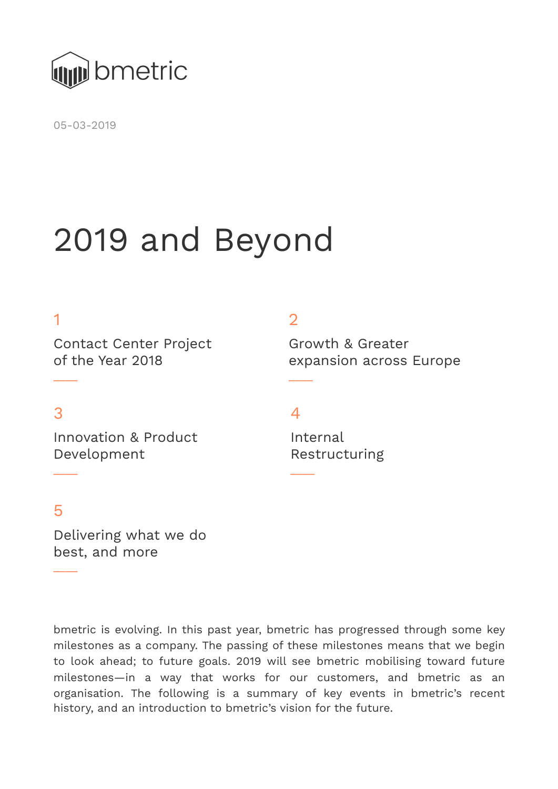

05-03-2019

# 2019 and Beyond

#### 1

Contact Center Project of the Year 2018

#### 3

 $\overline{\phantom{a}}$ 

Innovation & Product Development

#### 2

Growth & Greater expansion across Europe

#### $\Delta$

 $\overline{\phantom{a}}$ 

 $\overline{\phantom{a}}$ 

Internal Restructuring

#### 5

 $\overline{\phantom{a}}$ 

 $\overline{\phantom{a}}$ 

Delivering what we do best, and more

bmetric is evolving. In this past year, bmetric has progressed through some key milestones as a company. The passing of these milestones means that we begin to look ahead; to future goals. 2019 will see bmetric mobilising toward future milestones—in a way that works for our customers, and bmetric as an organisation. The following is a summary of key events in bmetric's recent history, and an introduction to bmetric's vision for the future.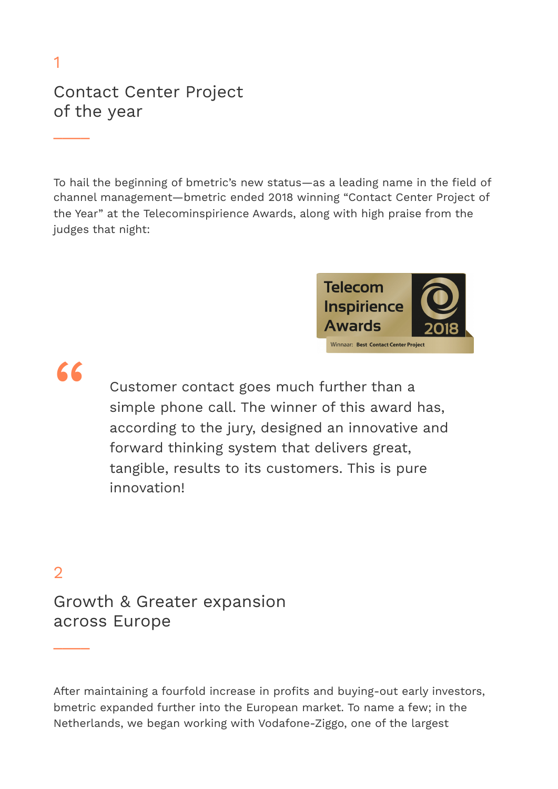# Contact Center Project of the year

To hail the beginning of bmetric's new status—as a leading name in the field of channel management—bmetric ended 2018 winning "Contact Center Project of the Year" at the Telecominspirience Awards, along with high praise from the judges that night:



1

 $\overline{\phantom{a}}$ 

Customer contact goes much further than a<br>simple phone call. The winner of this award l simple phone call. The winner of this award has, according to the jury, designed an innovative and forward thinking system that delivers great, tangible, results to its customers. This is pure innovation!

## 2

 $\overline{\phantom{a}}$ 

Growth & Greater expansion across Europe

After maintaining a fourfold increase in profits and buying-out early investors, bmetric expanded further into the European market. To name a few; in the Netherlands, we began working with Vodafone-Ziggo, one of the largest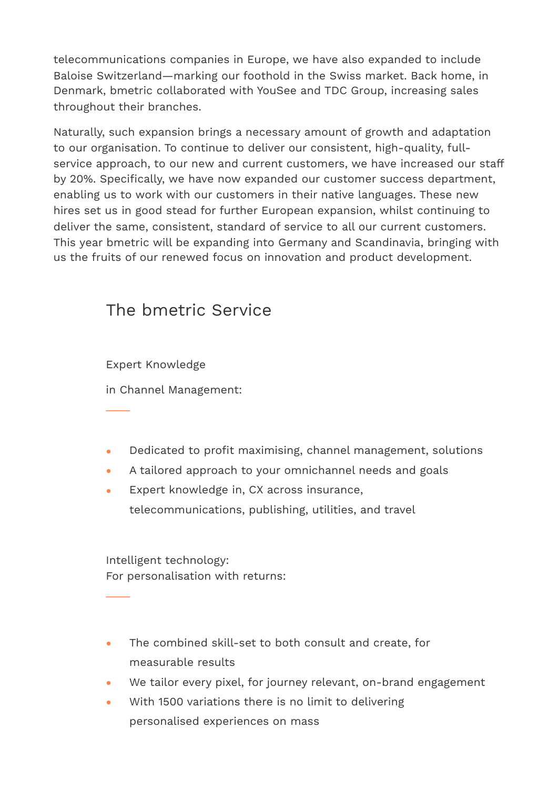telecommunications companies in Europe, we have also expanded to include Baloise Switzerland—marking our foothold in the Swiss market. Back home, in Denmark, bmetric collaborated with YouSee and TDC Group, increasing sales throughout their branches.

Naturally, such expansion brings a necessary amount of growth and adaptation to our organisation. To continue to deliver our consistent, high-quality, fullservice approach, to our new and current customers, we have increased our staff by 20%. Specifically, we have now expanded our customer success department, enabling us to work with our customers in their native languages. These new hires set us in good stead for further European expansion, whilst continuing to deliver the same, consistent, standard of service to all our current customers. This year bmetric will be expanding into Germany and Scandinavia, bringing with us the fruits of our renewed focus on innovation and product development.

## The bmetric Service

Expert Knowledge

 $\overline{\phantom{a}}$ 

 $\overline{\phantom{a}}$ 

in Channel Management:

- Dedicated to profit maximising, channel management, solutions
- A tailored approach to your omnichannel needs and goals
- Expert knowledge in, CX across insurance, telecommunications, publishing, utilities, and travel

Intelligent technology: For personalisation with returns:

- The combined skill-set to both consult and create, for measurable results
- We tailor every pixel, for journey relevant, on-brand engagement
- With 1500 variations there is no limit to delivering personalised experiences on mass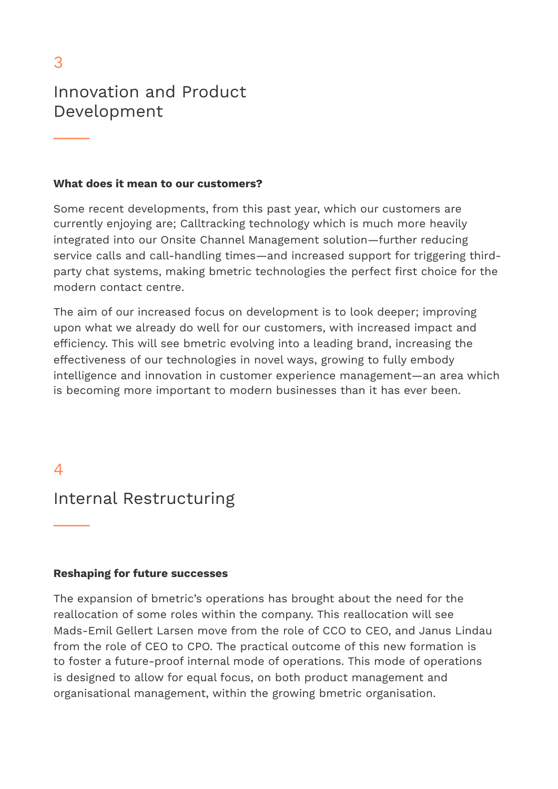$\overline{\phantom{a}}$ 

## Innovation and Product Development

#### **What does it mean to our customers?**

Some recent developments, from this past year, which our customers are currently enjoying are; Calltracking technology which is much more heavily integrated into our Onsite Channel Management solution—further reducing service calls and call-handling times—and increased support for triggering thirdparty chat systems, making bmetric technologies the perfect first choice for the modern contact centre.

The aim of our increased focus on development is to look deeper; improving upon what we already do well for our customers, with increased impact and efficiency. This will see bmetric evolving into a leading brand, increasing the effectiveness of our technologies in novel ways, growing to fully embody intelligence and innovation in customer experience management—an area which is becoming more important to modern businesses than it has ever been.

#### $\overline{\mathcal{A}}$

 $\overline{\phantom{a}}$ 

#### Internal Restructuring

#### **Reshaping for future successes**

The expansion of bmetric's operations has brought about the need for the reallocation of some roles within the company. This reallocation will see Mads-Emil Gellert Larsen move from the role of CCO to CEO, and Janus Lindau from the role of CEO to CPO. The practical outcome of this new formation is to foster a future-proof internal mode of operations. This mode of operations is designed to allow for equal focus, on both product management and organisational management, within the growing bmetric organisation.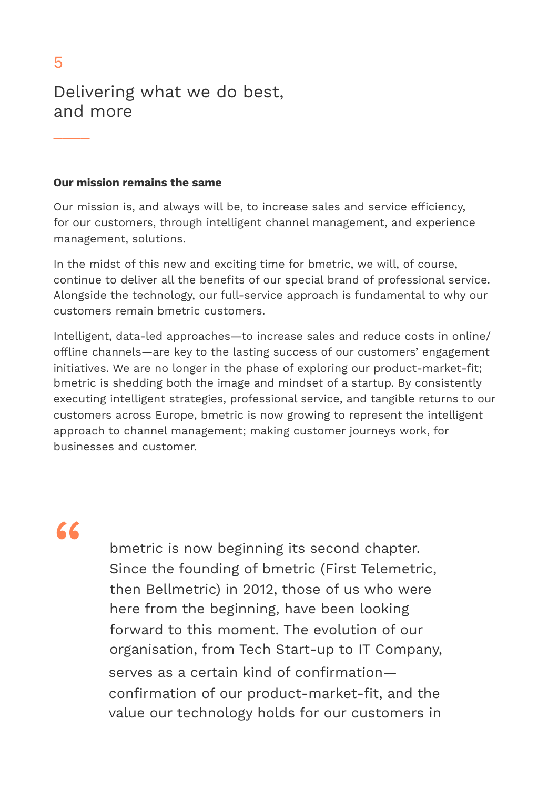$\overline{\phantom{a}}$ 

## Delivering what we do best, and more

#### **Our mission remains the same**

Our mission is, and always will be, to increase sales and service efficiency, for our customers, through intelligent channel management, and experience management, solutions.

In the midst of this new and exciting time for bmetric, we will, of course, continue to deliver all the benefits of our special brand of professional service. Alongside the technology, our full-service approach is fundamental to why our customers remain bmetric customers.

Intelligent, data-led approaches—to increase sales and reduce costs in online/ offline channels—are key to the lasting success of our customers' engagement initiatives. We are no longer in the phase of exploring our product-market-fit; bmetric is shedding both the image and mindset of a startup. By consistently executing intelligent strategies, professional service, and tangible returns to our customers across Europe, bmetric is now growing to represent the intelligent approach to channel management; making customer journeys work, for businesses and customer.

"

bmetric is now beginning its second chapter. Since the founding of bmetric (First Telemetric, then Bellmetric) in 2012, those of us who were here from the beginning, have been looking forward to this moment. The evolution of our organisation, from Tech Start-up to IT Company, serves as a certain kind of confirmation confirmation of our product-market-fit, and the value our technology holds for our customers in